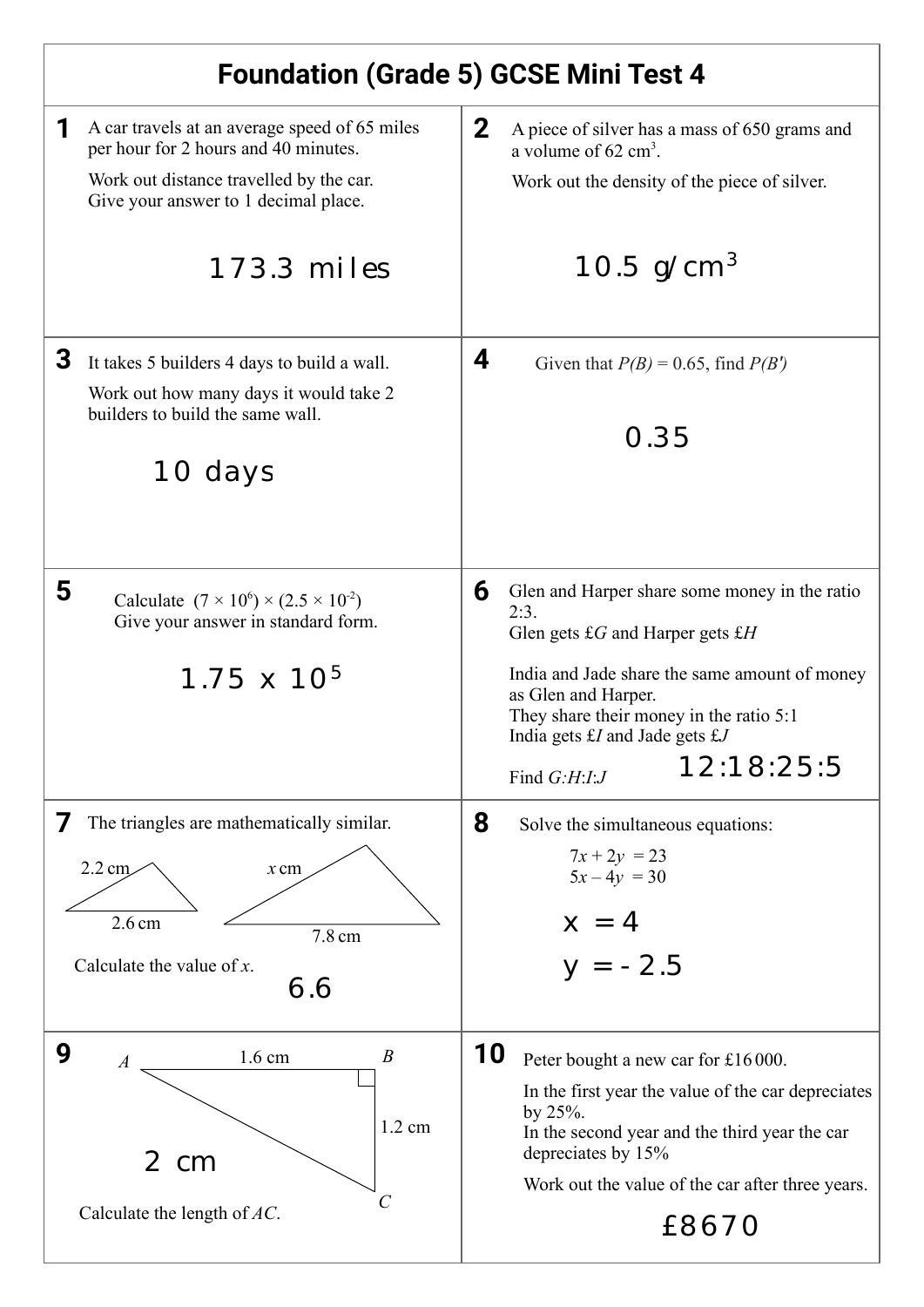| <b>Foundation (Grade 5) GCSE Mini Test 4</b>                                                                                                                                              |                                                                                                                                                                                                                                                                                                                      |
|-------------------------------------------------------------------------------------------------------------------------------------------------------------------------------------------|----------------------------------------------------------------------------------------------------------------------------------------------------------------------------------------------------------------------------------------------------------------------------------------------------------------------|
| A car travels at an average speed of 65 miles<br>per hour for 2 hours and 40 minutes.<br>Work out distance travelled by the car.<br>Give your answer to 1 decimal place.<br>$173.3$ miles | $\mathbf{2}$<br>A piece of silver has a mass of 650 grams and<br>a volume of $62 \text{ cm}^3$ .<br>Work out the density of the piece of silver.<br>10.5 $g/cm^{3}$                                                                                                                                                  |
| 3<br>It takes 5 builders 4 days to build a wall.<br>Work out how many days it would take 2<br>builders to build the same wall.<br>10 days                                                 | 4<br>Given that $P(B) = 0.65$ , find $P(B')$<br>0.35                                                                                                                                                                                                                                                                 |
| 5<br>Calculate $(7 \times 10^6) \times (2.5 \times 10^2)$<br>Give your answer in standard form.<br>$1.75 \times 10^{5}$                                                                   | 6<br>Glen and Harper share some money in the ratio<br>2:3.<br>Glen gets $\pounds G$ and Harper gets $\pounds H$<br>India and Jade share the same amount of money<br>as Glen and Harper.<br>They share their money in the ratio 5:1<br>India gets $\pounds I$ and Jade gets $\pounds J$<br>12:18:25:5<br>Find G:H:I:J |
| The triangles are mathematically similar.<br>7<br>$2.2 \text{ cm}$<br>$x$ cm<br>2.6 <sub>cm</sub><br>7.8 cm<br>Calculate the value of $x$ .<br>6.6                                        | 8<br>Solve the simultaneous equations:<br>$7x + 2y = 23$<br>$5x-4y = 30$<br>$x = 4$<br>$y = -2.5$                                                                                                                                                                                                                    |
| 9<br>$\boldsymbol{B}$<br>$1.6 \text{ cm}$<br>$\boldsymbol{A}$<br>$1.2 \text{ cm}$<br>2 cm<br>$\mathcal C$<br>Calculate the length of $AC$ .                                               | 10<br>Peter bought a new car for £16000.<br>In the first year the value of the car depreciates<br>by $25%$ .<br>In the second year and the third year the car<br>depreciates by 15%<br>Work out the value of the car after three years.<br>£8670                                                                     |